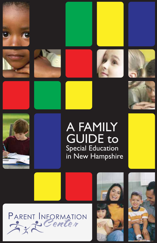











# A FAMILY **GUIDE to Special Education** in New Hampshire







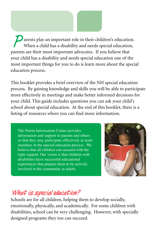**P** arents play an important role in their children's education. When a child has a disability and needs special education, parents are their most important advocates. If you believe that your child has a disability and needs special education one of the most important things for you to do is learn more about the special education process.

This booklet provides a brief overview of the NH special education process. By gaining knowledge and skills you will be able to participate more effectively in meetings and make better informed decisions for your child. This guide includes questions you can ask your child's school about special education. At the end of this booklet, there is a listing of resources where you can find more information.

The Parent Information Center provides information and support to parents and others so that they may participate effectively as team members in the special education process. We believe that all children can succeed with the right support. Our vision is that children with disabilities have successful educational experiences that prepare them to be actively involved in the community as adults.



### **What is special education?**

Schools are for all children, helping them to develop socially, emotionally, physically, and academically. For some children with disabilities, school can be very challenging. However, with specially designed programs they too can succeed.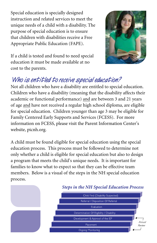Special education is specially designed instruction and related services to meet the unique needs of a child with a disability. The purpose of special education is to ensure that children with disabilities receive a Free Appropriate Public Education (FAPE).



If a child is tested and found to need special education it must be made available at no cost to the parents.

## **Who is entitled to receive special education?**

Not all children who have a disability are entitled to special education. Children who have a disability (meaning that the disability affects their academic or functional performance) and are between 3 and 21 years of age and have not received a regular high school diploma, are eligible for special education. Children younger than age 3 may be eligible for Family Centered Early Supports and Services (FCESS). For more information on FCESS, please visit the Parent Information Center's website, picnh.org.

A child must be found eligible for special education using the special education process. This process must be followed to determine not only whether a child is eligible for special education but also to design a program that meets the child's unique needs. It is important for families to know what to expect so that they can be effective team members. Below is a visual of the steps in the NH special education process.

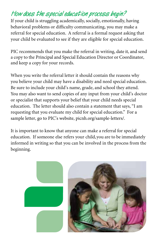## **How does the special education process begin?**

If your child is struggling academically, socially, emotionally, having behavioral problems or difficulty communicating, you may make a referral for special education. A referral is a formal request asking that your child be evaluated to see if they are eligible for special education.

PIC recommends that you make the referral in writing, date it, and send a copy to the Principal and Special Education Director or Coordinator, and keep a copy for your records.

When you write the referral letter it should contain the reasons why you believe your child may have a disability and need special education. Be sure to include your child's name, grade, and school they attend. You may also want to send copies of any input from your child's doctor or specialist that supports your belief that your child needs special education. The letter should also contain a statement that says, "I am requesting that you evaluate my child for special education." For a sample letter, go to PIC's website, picnh.org/sample-letters/.

It is important to know that anyone can make a referral for special education. If someone else refers your child, you are to be immediately informed in writing so that you can be involved in the process from the beginning.

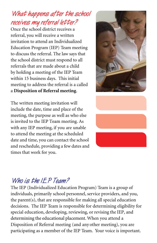## **What happens after the school receives my referral letter?**

Once the school district receives a referral, you will receive a written invitation to attend an Individualized Education Program (IEP) Team meeting to discuss the referral. The law says that the school district must respond to all referrals that are made about a child by holding a meeting of the IEP Team within 15 business days. This initial meeting to address the referral is a called a **Disposition of Referral meeting**.

The written meeting invitation will include the date, time and place of the meeting, the purpose as well as who else is invited to the IEP Team meeting. As with any IEP meeting, if you are unable to attend the meeting at the scheduled date and time, you can contact the school and reschedule, providing a few dates and times that work for you.





### **Who is the IEP Team?**

The IEP (Individualized Education Program) Team is a group of individuals, primarily school personnel, service providers, and you, the parent(s), that are responsible for making all special education decisions. The IEP Team is responsible for determining eligibility for special education, developing, reviewing, or revising the IEP, and determining the educational placement. When you attend a Disposition of Referral meeting (and any other meeting), you are participating as a member of the IEP Team. Your voice is important.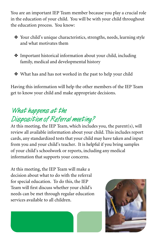You are an important IEP Team member because you play a crucial role in the education of your child. You will be with your child throughout the education process. You know:

- ❖ Your child's unique characteristics, strengths, needs, learning style and what motivates them
- ❖ Important historical information about your child, including family, medical and developmental history
- ❖ What has and has not worked in the past to help your child

Having this information will help the other members of the IEP Team get to know your child and make appropriate decisions.

## **What happens at the Disposition of Referral meeting?**

At this meeting, the IEP Team, which includes you, the parent(s), will review all available information about your child. This includes report cards, any standardized tests that your child may have taken and input from you and your child's teacher. It is helpful if you bring samples of your child's schoolwork or reports, including any medical information that supports your concerns.

At this meeting, the IEP Team will make a decision about what to do with the referral for special education. To do this, the IEP Team will first discuss whether your child's needs can be met through regular education services available to all children.



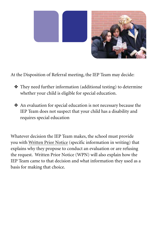

At the Disposition of Referral meeting, the IEP Team may decide:

- ❖ They need further information (additional testing) to determine whether your child is eligible for special education.
- ❖ An evaluation for special education is not necessary because the IEP Team does not suspect that your child has a disability and requires special education

Whatever decision the IEP Team makes, the school must provide you with Written Prior Notice (specific information in writing) that explains why they propose to conduct an evaluation or are refusing the request. Written Prior Notice (WPN) will also explain how the IEP Team came to that decision and what information they used as a basis for making that choice.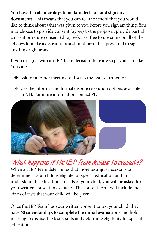#### **You have 14 calendar days to make a decision and sign any**

**documents.** This means that you can tell the school that you would like to think about what was given to you before you sign anything. You may choose to provide consent (agree) to the proposal, provide partial consent or refuse consent (disagree). Feel free to use some or all of the 14 days to make a decision. You should never feel pressured to sign anything right away.

If you disagree with an IEP Team decision there are steps you can take. You can:

- ❖ Ask for another meeting to discuss the issues further; or
- ❖ Use the informal and formal dispute resolution options available in NH. For more information contact PIC.



## **What happens if the IEP Team decides to evaluate?**

When an IEP Team determines that more testing is necessary to determine if your child is eligible for special education and to understand the educational needs of your child, you will be asked for your written consent to evaluate. The consent form will include the kinds of tests that your child will be given.

Once the IEP Team has your written consent to test your child, they have **60 calendar days to complete the initial evaluations** and hold a meeting to discuss the test results and determine eligibility for special education.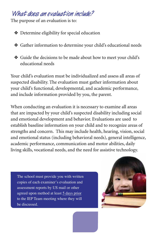#### **What does an evaluation include?**

The purpose of an evaluation is to:

❖ Determine eligibility for special education

- ❖ Gather information to determine your child's educational needs
- ❖ Guide the decisions to be made about how to meet your child's educational needs

Your child's evaluation must be individualized and assess all areas of suspected disability. The evaluation must gather information about your child's functional, developmental, and academic performance, and include information provided by you, the parent.

When conducting an evaluation it is necessary to examine all areas that are impacted by your child's suspected disability including social and emotional development and behavior. Evaluations are used to establish baseline information on your child and to recognize areas of strengths and concern. This may include health, hearing, vision, social and emotional status (including behavioral needs), general intelligence, academic performance, communication and motor abilities, daily living skills, vocational needs, and the need for assistive technology.

The school must provide you with written copies of each examiner's evaluation and assessment reports by US mail or other agreed upon method at least 5 days prior to the IEP Team meeting where they will be discussed.

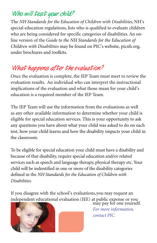## **Who will test your child?**

The *NH Standards for the Education of Children with Disabilities*, NH's special education regulations, lists who is qualified to evaluate children who are being considered for specific categories of disabilities. An online version of the *Guide to the NH Standards for the Education of Children with Disabilities* may be found on PIC's website, picnh.org, under brochures and toolkits.

## **What happens after the evaluation?**

Once the evaluation is complete, the IEP Team must meet to review the evaluation results. An individual who can interpret the instructional implications of the evaluation and what those mean for your child's education is a required member of the IEP Team.

The IEP Team will use the information from the evaluations as well as any other available information to determine whether your child is eligible for special education services. This is your opportunity to ask any questions you have about what your child was asked to do on each test, how your child learns and how the disability impacts your child in the classroom.

To be eligible for special education your child must have a disability and because of that disability, require special education and/or related services such as speech and language therapy, physical therapy etc. Your child will be indentified in one or more of the disability categories defined in the *NH Standards for the Education of Children with Disabilities.* 

If you disagree with the school's evaluations, you may request an independent educational evaluation (IEE) at public expense or you may pay for one yourself.



*For more information, contact PIC.*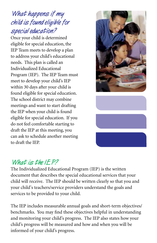## **What happens if my child is found eligible for special education?**

Once your child is determined eligible for special education, the IEP Team meets to develop a plan to address your child's educational needs. This plan is called an Individualized Educational Program (IEP). The IEP Team must meet to develop your child's IEP within 30 days after your child is found eligible for special education. The school district may combine meetings and want to start drafting the IEP when your child is found eligible for special education. If you do not feel comfortable starting to draft the IEP at this meeting, you can ask to schedule another meeting to draft the IEP.





### **What is the IEP?**

The Individualized Educational Program (IEP) is the written document that describes the special educational services that your child will receive. The IEP should be written clearly so that you and your child's teachers/service providers understand the goals and services to be provided to your child.

The IEP includes measurable annual goals and short-term objectives/ benchmarks. You may find these objectives helpful in understanding and monitoring your child's progress. The IEP also states how your child's progress will be measured and how and when you will be informed of your child's progress.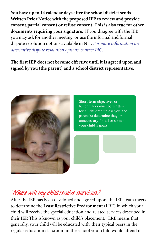**You have up to 14 calendar days after the school district sends Written Prior Notice with the proposed IEP to review and provide consent,partial consent or refuse consent. This is also true for other documents requiring your signature.** If you disagree with the IEP, you may ask for another meeting, or use the informal and formal dispute resolution options available in NH. *For more information on alternative dispute resolution options, contact PIC.* 

**The first IEP does not become effective until it is agreed upon and signed by you (the parent) and a school district representative.** 



Short-term objectives or benchmarks must be written for all children unless you, the parent(s) determine they are unnecessary for all or some of your child's goals.

#### **Where will my child receive services?**

After the IEP has been developed and agreed upon, the IEP Team meets to determine the **Least Restrictive Environment** (LRE) in which your child will receive the special education and related services described in their IEP. This is known as your child's placement. LRE means that, generally, your child will be educated with their typical peers in the regular education classroom in the school your child would attend if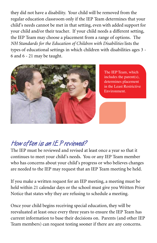they did not have a disability. Your child will be removed from the regular education classroom only if the IEP Team determines that your child's needs cannot be met in that setting, even with added support for your child and/or their teacher. If your child needs a different setting, the IEP Team may choose a placement from a range of options. The *NH Standards for the Education of Children with Disabilities* lists the types of educational settings in which children with disabilities ages 3 - 6 and 6 - 21 may be taught.



The IEP Team, which includes the parent(s), determines placement in the Least Restrictive Environment.

## **How often is an IEP reviewed?**

The IEP must be reviewed and revised at least once a year so that it continues to meet your child's needs. You or any IEP Team member who has concerns about your child's progress or who believes changes are needed to the IEP may request that an IEP Team meeting be held.

If you make a written request for an IEP meeting, a meeting must be held within 21 calendar days or the school must give you Written Prior Notice that states why they are refusing to schedule a meeting.

Once your child begins receiving special education, they will be reevaluated at least once every three years to ensure the IEP Team has current information to base their decisions on. Parents (and other IEP Team members) can request testing sooner if there are any concerns.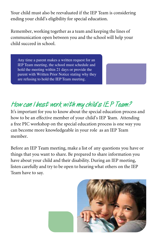Your child must also be reevaluated if the IEP Team is considering ending your child's eligibility for special education.

Remember, working together as a team and keeping the lines of communication open between you and the school will help your child succeed in school.

Any time a parent makes a written request for an IEP Team meeting, the school must schedule and hold the meeting within 21 days or provide the parent with Written Prior Notice stating why they are refusing to hold the IEP Team meeting.

## **How can I best work with my child's IEP Team?**

It's important for you to know about the special education process and how to be an effective member of your child's IEP Team. Attending a free PIC workshop on the special education process is one way you can become more knowledgeable in your role as an IEP Team member.

Before an IEP Team meeting, make a list of any questions you have or things that you want to share. Be prepared to share information you have about your child and their disability. During an IEP meeting, listen carefully and try to be open to hearing what others on the IEP Team have to say.

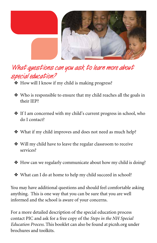

## **What questions can you ask to learn more about special education?**

- ❖ How will I know if my child is making progress?
- ❖ Who is responsible to ensure that my child reaches all the goals in their IEP?
- ❖ If I am concerned with my child's current progress in school, who do I contact?
- ❖ What if my child improves and does not need as much help?
- ❖ Will my child have to leave the regular classroom to receive services?
- ❖ How can we regularly communicate about how my child is doing?
- ❖ What can I do at home to help my child succeed in school?

You may have additional questions and should feel comfortable asking anything. This is one way that you can be sure that you are well informed and the school is aware of your concerns.

For a more detailed description of the special education process contact PIC and ask for a free copy of the *Steps in the NH Special Education Process*. This booklet can also be found at picnh.org under brochures and toolkits.